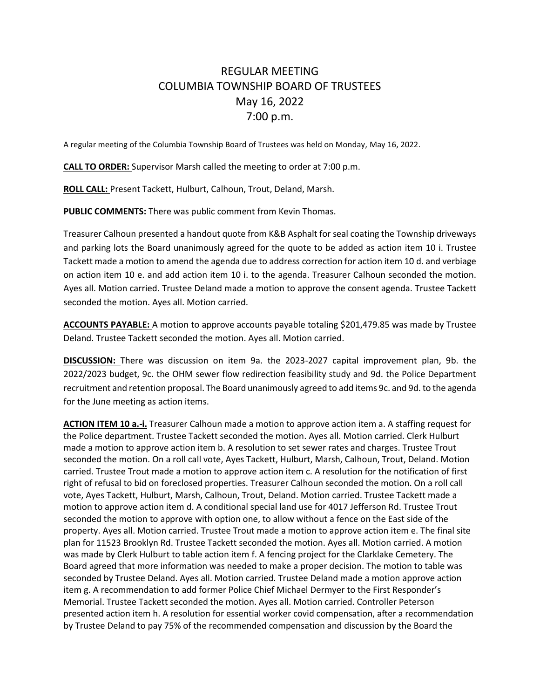## REGULAR MEETING COLUMBIA TOWNSHIP BOARD OF TRUSTEES May 16, 2022 7:00 p.m.

A regular meeting of the Columbia Township Board of Trustees was held on Monday, May 16, 2022.

**CALL TO ORDER:** Supervisor Marsh called the meeting to order at 7:00 p.m.

**ROLL CALL:** Present Tackett, Hulburt, Calhoun, Trout, Deland, Marsh.

**PUBLIC COMMENTS:** There was public comment from Kevin Thomas.

Treasurer Calhoun presented a handout quote from K&B Asphalt for seal coating the Township driveways and parking lots the Board unanimously agreed for the quote to be added as action item 10 i. Trustee Tackett made a motion to amend the agenda due to address correction for action item 10 d. and verbiage on action item 10 e. and add action item 10 i. to the agenda. Treasurer Calhoun seconded the motion. Ayes all. Motion carried. Trustee Deland made a motion to approve the consent agenda. Trustee Tackett seconded the motion. Ayes all. Motion carried.

**ACCOUNTS PAYABLE:** A motion to approve accounts payable totaling \$201,479.85 was made by Trustee Deland. Trustee Tackett seconded the motion. Ayes all. Motion carried.

**DISCUSSION:** There was discussion on item 9a. the 2023-2027 capital improvement plan, 9b. the 2022/2023 budget, 9c. the OHM sewer flow redirection feasibility study and 9d. the Police Department recruitment and retention proposal. The Board unanimously agreed to add items 9c. and 9d. to the agenda for the June meeting as action items.

**ACTION ITEM 10 a.-i.** Treasurer Calhoun made a motion to approve action item a. A staffing request for the Police department. Trustee Tackett seconded the motion. Ayes all. Motion carried. Clerk Hulburt made a motion to approve action item b. A resolution to set sewer rates and charges. Trustee Trout seconded the motion. On a roll call vote, Ayes Tackett, Hulburt, Marsh, Calhoun, Trout, Deland. Motion carried. Trustee Trout made a motion to approve action item c. A resolution for the notification of first right of refusal to bid on foreclosed properties. Treasurer Calhoun seconded the motion. On a roll call vote, Ayes Tackett, Hulburt, Marsh, Calhoun, Trout, Deland. Motion carried. Trustee Tackett made a motion to approve action item d. A conditional special land use for 4017 Jefferson Rd. Trustee Trout seconded the motion to approve with option one, to allow without a fence on the East side of the property. Ayes all. Motion carried. Trustee Trout made a motion to approve action item e. The final site plan for 11523 Brooklyn Rd. Trustee Tackett seconded the motion. Ayes all. Motion carried. A motion was made by Clerk Hulburt to table action item f. A fencing project for the Clarklake Cemetery. The Board agreed that more information was needed to make a proper decision. The motion to table was seconded by Trustee Deland. Ayes all. Motion carried. Trustee Deland made a motion approve action item g. A recommendation to add former Police Chief Michael Dermyer to the First Responder's Memorial. Trustee Tackett seconded the motion. Ayes all. Motion carried. Controller Peterson presented action item h. A resolution for essential worker covid compensation, after a recommendation by Trustee Deland to pay 75% of the recommended compensation and discussion by the Board the